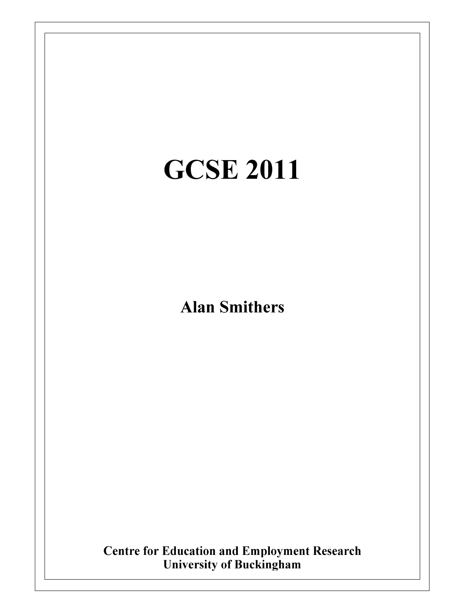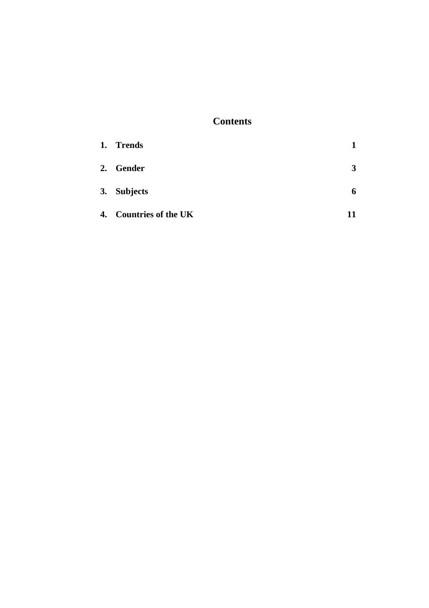# **Contents**

| 1. Trends              |    |
|------------------------|----|
| 2. Gender              | 3  |
| 3. Subjects            | 6  |
| 4. Countries of the UK | 11 |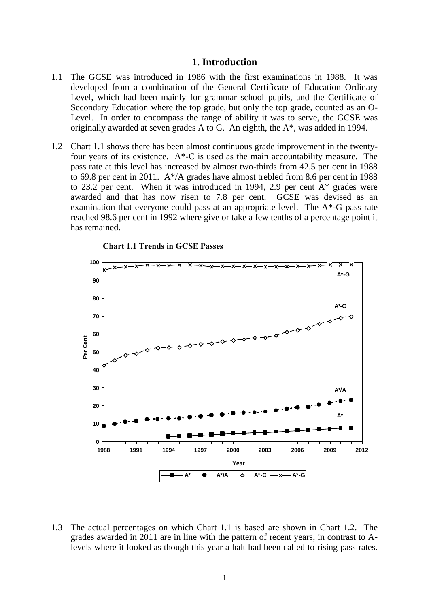#### **1. Introduction**

- 1.1 The GCSE was introduced in 1986 with the first examinations in 1988. It was developed from a combination of the General Certificate of Education Ordinary Level, which had been mainly for grammar school pupils, and the Certificate of Secondary Education where the top grade, but only the top grade, counted as an O-Level. In order to encompass the range of ability it was to serve, the GCSE was originally awarded at seven grades A to G. An eighth, the A\*, was added in 1994.
- 1.2 Chart 1.1 shows there has been almost continuous grade improvement in the twentyfour years of its existence.  $A^*$ -C is used as the main accountability measure. The pass rate at this level has increased by almost two-thirds from 42.5 per cent in 1988 to 69.8 per cent in 2011. A\*/A grades have almost trebled from 8.6 per cent in 1988 to 23.2 per cent. When it was introduced in 1994, 2.9 per cent A\* grades were awarded and that has now risen to 7.8 per cent. GCSE was devised as an examination that everyone could pass at an appropriate level. The A\*-G pass rate reached 98.6 per cent in 1992 where give or take a few tenths of a percentage point it has remained.



**Chart 1.1 Trends in GCSE Passes** 

1.3 The actual percentages on which Chart 1.1 is based are shown in Chart 1.2. The grades awarded in 2011 are in line with the pattern of recent years, in contrast to Alevels where it looked as though this year a halt had been called to rising pass rates.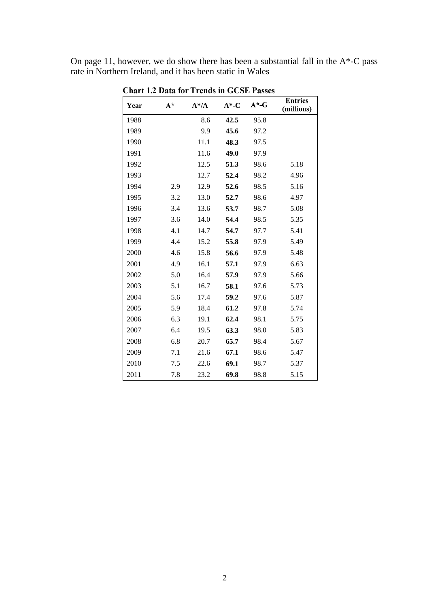On page 11, however, we do show there has been a substantial fall in the  $A^*$ -C pass rate in Northern Ireland, and it has been static in Wales

| Year | $A^*$ | $A^*/A$ | $A^*$ -C | $A^*$ -G | <b>Entries</b><br>(millions) |
|------|-------|---------|----------|----------|------------------------------|
| 1988 |       | 8.6     | 42.5     | 95.8     |                              |
| 1989 |       | 9.9     | 45.6     | 97.2     |                              |
| 1990 |       | 11.1    | 48.3     | 97.5     |                              |
| 1991 |       | 11.6    | 49.0     | 97.9     |                              |
| 1992 |       | 12.5    | 51.3     | 98.6     | 5.18                         |
| 1993 |       | 12.7    | 52.4     | 98.2     | 4.96                         |
| 1994 | 2.9   | 12.9    | 52.6     | 98.5     | 5.16                         |
| 1995 | 3.2   | 13.0    | 52.7     | 98.6     | 4.97                         |
| 1996 | 3.4   | 13.6    | 53.7     | 98.7     | 5.08                         |
| 1997 | 3.6   | 14.0    | 54.4     | 98.5     | 5.35                         |
| 1998 | 4.1   | 14.7    | 54.7     | 97.7     | 5.41                         |
| 1999 | 4.4   | 15.2    | 55.8     | 97.9     | 5.49                         |
| 2000 | 4.6   | 15.8    | 56.6     | 97.9     | 5.48                         |
| 2001 | 4.9   | 16.1    | 57.1     | 97.9     | 6.63                         |
| 2002 | 5.0   | 16.4    | 57.9     | 97.9     | 5.66                         |
| 2003 | 5.1   | 16.7    | 58.1     | 97.6     | 5.73                         |
| 2004 | 5.6   | 17.4    | 59.2     | 97.6     | 5.87                         |
| 2005 | 5.9   | 18.4    | 61.2     | 97.8     | 5.74                         |
| 2006 | 6.3   | 19.1    | 62.4     | 98.1     | 5.75                         |
| 2007 | 6.4   | 19.5    | 63.3     | 98.0     | 5.83                         |
| 2008 | 6.8   | 20.7    | 65.7     | 98.4     | 5.67                         |
| 2009 | 7.1   | 21.6    | 67.1     | 98.6     | 5.47                         |
| 2010 | 7.5   | 22.6    | 69.1     | 98.7     | 5.37                         |
| 2011 | 7.8   | 23.2    | 69.8     | 98.8     | 5.15                         |

**Chart 1.2 Data for Trends in GCSE Passes**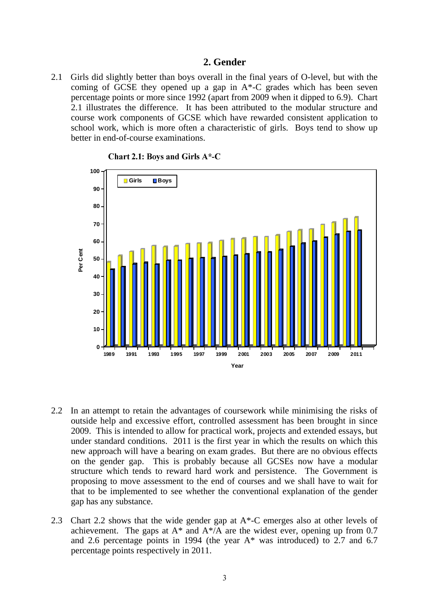# **2. Gender**

2.1 Girls did slightly better than boys overall in the final years of O-level, but with the coming of GCSE they opened up a gap in A\*-C grades which has been seven percentage points or more since 1992 (apart from 2009 when it dipped to 6.9). Chart 2.1 illustrates the difference. It has been attributed to the modular structure and course work components of GCSE which have rewarded consistent application to school work, which is more often a characteristic of girls. Boys tend to show up better in end-of-course examinations.



Chart 2.1: Boys and Girls A\*-C

- 2.2 In an attempt to retain the advantages of coursework while minimising the risks of outside help and excessive effort, controlled assessment has been brought in since 2009. This is intended to allow for practical work, projects and extended essays, but under standard conditions. 2011 is the first year in which the results on which this new approach will have a bearing on exam grades. But there are no obvious effects on the gender gap. This is probably because all GCSEs now have a modular structure which tends to reward hard work and persistence. The Government is proposing to move assessment to the end of courses and we shall have to wait for that to be implemented to see whether the conventional explanation of the gender gap has any substance.
- 2.3 Chart 2.2 shows that the wide gender gap at A\*-C emerges also at other levels of achievement. The gaps at  $A^*$  and  $A^*/A$  are the widest ever, opening up from 0.7 and 2.6 percentage points in 1994 (the year A\* was introduced) to 2.7 and 6.7 percentage points respectively in 2011.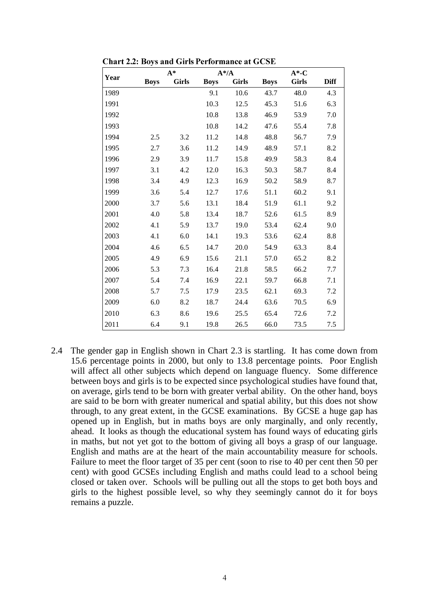|      |             | $A^*$        |             | $A^* / A$    |             | $A^*$ -C     |             |  |
|------|-------------|--------------|-------------|--------------|-------------|--------------|-------------|--|
| Year | <b>Boys</b> | <b>Girls</b> | <b>Boys</b> | <b>Girls</b> | <b>Boys</b> | <b>Girls</b> | <b>Diff</b> |  |
| 1989 |             |              | 9.1         | 10.6         | 43.7        | 48.0         | 4.3         |  |
| 1991 |             |              | 10.3        | 12.5         | 45.3        | 51.6         | 6.3         |  |
| 1992 |             |              | 10.8        | 13.8         | 46.9        | 53.9         | 7.0         |  |
| 1993 |             |              | 10.8        | 14.2         | 47.6        | 55.4         | 7.8         |  |
| 1994 | 2.5         | 3.2          | 11.2        | 14.8         | 48.8        | 56.7         | 7.9         |  |
| 1995 | 2.7         | 3.6          | 11.2        | 14.9         | 48.9        | 57.1         | 8.2         |  |
| 1996 | 2.9         | 3.9          | 11.7        | 15.8         | 49.9        | 58.3         | 8.4         |  |
| 1997 | 3.1         | 4.2          | 12.0        | 16.3         | 50.3        | 58.7         | 8.4         |  |
| 1998 | 3.4         | 4.9          | 12.3        | 16.9         | 50.2        | 58.9         | 8.7         |  |
| 1999 | 3.6         | 5.4          | 12.7        | 17.6         | 51.1        | 60.2         | 9.1         |  |
| 2000 | 3.7         | 5.6          | 13.1        | 18.4         | 51.9        | 61.1         | 9.2         |  |
| 2001 | 4.0         | 5.8          | 13.4        | 18.7         | 52.6        | 61.5         | 8.9         |  |
| 2002 | 4.1         | 5.9          | 13.7        | 19.0         | 53.4        | 62.4         | 9.0         |  |
| 2003 | 4.1         | 6.0          | 14.1        | 19.3         | 53.6        | 62.4         | 8.8         |  |
| 2004 | 4.6         | 6.5          | 14.7        | 20.0         | 54.9        | 63.3         | 8.4         |  |
| 2005 | 4.9         | 6.9          | 15.6        | 21.1         | 57.0        | 65.2         | 8.2         |  |
| 2006 | 5.3         | 7.3          | 16.4        | 21.8         | 58.5        | 66.2         | 7.7         |  |
| 2007 | 5.4         | 7.4          | 16.9        | 22.1         | 59.7        | 66.8         | 7.1         |  |
| 2008 | 5.7         | 7.5          | 17.9        | 23.5         | 62.1        | 69.3         | 7.2         |  |
| 2009 | 6.0         | 8.2          | 18.7        | 24.4         | 63.6        | 70.5         | 6.9         |  |
| 2010 | 6.3         | 8.6          | 19.6        | 25.5         | 65.4        | 72.6         | 7.2         |  |
| 2011 | 6.4         | 9.1          | 19.8        | 26.5         | 66.0        | 73.5         | 7.5         |  |

**Chart 2.2: Boys and Girls Performance at GCSE** 

2.4 The gender gap in English shown in Chart 2.3 is startling. It has come down from 15.6 percentage points in 2000, but only to 13.8 percentage points. Poor English will affect all other subjects which depend on language fluency. Some difference between boys and girls is to be expected since psychological studies have found that, on average, girls tend to be born with greater verbal ability. On the other hand, boys are said to be born with greater numerical and spatial ability, but this does not show through, to any great extent, in the GCSE examinations. By GCSE a huge gap has opened up in English, but in maths boys are only marginally, and only recently, ahead. It looks as though the educational system has found ways of educating girls in maths, but not yet got to the bottom of giving all boys a grasp of our language. English and maths are at the heart of the main accountability measure for schools. Failure to meet the floor target of 35 per cent (soon to rise to 40 per cent then 50 per cent) with good GCSEs including English and maths could lead to a school being closed or taken over. Schools will be pulling out all the stops to get both boys and girls to the highest possible level, so why they seemingly cannot do it for boys remains a puzzle.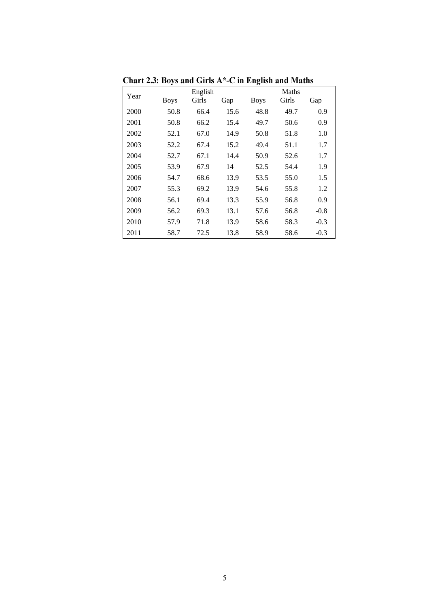| Year |             | English |      |             | Maths |        |
|------|-------------|---------|------|-------------|-------|--------|
|      | <b>Boys</b> | Girls   | Gap  | <b>Boys</b> | Girls | Gap    |
| 2000 | 50.8        | 66.4    | 15.6 | 48.8        | 49.7  | 0.9    |
| 2001 | 50.8        | 66.2    | 15.4 | 49.7        | 50.6  | 0.9    |
| 2002 | 52.1        | 67.0    | 14.9 | 50.8        | 51.8  | 1.0    |
| 2003 | 52.2        | 67.4    | 15.2 | 49.4        | 51.1  | 1.7    |
| 2004 | 52.7        | 67.1    | 14.4 | 50.9        | 52.6  | 1.7    |
| 2005 | 53.9        | 67.9    | 14   | 52.5        | 54.4  | 1.9    |
| 2006 | 54.7        | 68.6    | 13.9 | 53.5        | 55.0  | 1.5    |
| 2007 | 55.3        | 69.2    | 13.9 | 54.6        | 55.8  | 1.2    |
| 2008 | 56.1        | 69.4    | 13.3 | 55.9        | 56.8  | 0.9    |
| 2009 | 56.2        | 69.3    | 13.1 | 57.6        | 56.8  | $-0.8$ |
| 2010 | 57.9        | 71.8    | 13.9 | 58.6        | 58.3  | $-0.3$ |
| 2011 | 58.7        | 72.5    | 13.8 | 58.9        | 58.6  | $-0.3$ |

Chart 2.3: Boys and Girls A\*-C in English and Maths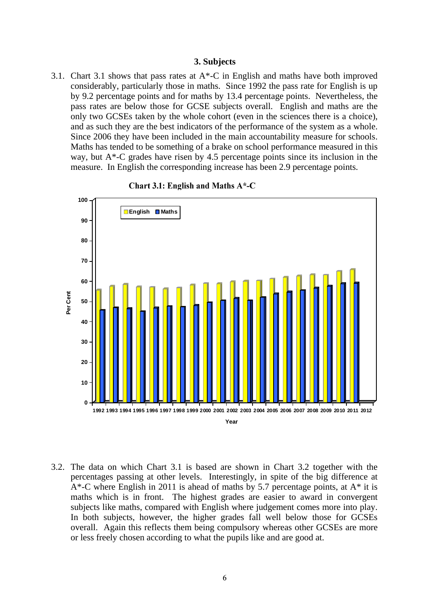#### **3. Subjects**

3.1. Chart 3.1 shows that pass rates at  $A^*$ -C in English and maths have both improved considerably, particularly those in maths. Since 1992 the pass rate for English is up by 9.2 percentage points and for maths by 13.4 percentage points. Nevertheless, the pass rates are below those for GCSE subjects overall. English and maths are the only two GCSEs taken by the whole cohort (even in the sciences there is a choice), and as such they are the best indicators of the performance of the system as a whole. Since 2006 they have been included in the main accountability measure for schools. Maths has tended to be something of a brake on school performance measured in this way, but A\*-C grades have risen by 4.5 percentage points since its inclusion in the measure. In English the corresponding increase has been 2.9 percentage points.





3.2. The data on which Chart 3.1 is based are shown in Chart 3.2 together with the percentages passing at other levels. Interestingly, in spite of the big difference at A\*-C where English in 2011 is ahead of maths by 5.7 percentage points, at A\* it is maths which is in front. The highest grades are easier to award in convergent subjects like maths, compared with English where judgement comes more into play. In both subjects, however, the higher grades fall well below those for GCSEs overall. Again this reflects them being compulsory whereas other GCSEs are more or less freely chosen according to what the pupils like and are good at.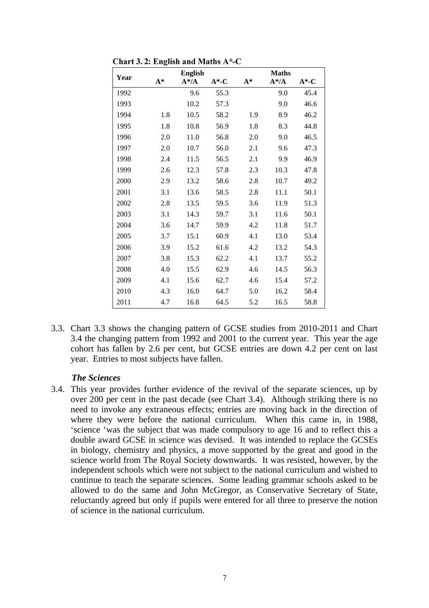|      |       | <b>English</b> |          |       | <b>Maths</b> |        |
|------|-------|----------------|----------|-------|--------------|--------|
| Year | $A^*$ | $A^*/A$        | $A^*$ -C | $A^*$ | $A^* / A$    | $A^*C$ |
| 1992 |       | 9.6            | 55.3     |       | 9.0          | 45.4   |
| 1993 |       | 10.2           | 57.3     |       | 9.0          | 46.6   |
| 1994 | 1.8   | 10.5           | 58.2     | 1.9   | 8.9          | 46.2   |
| 1995 | 1.8   | 10.8           | 56.9     | 1.8   | 8.3          | 44.8   |
| 1996 | 2.0   | 11.0           | 56.8     | 2.0   | 9.0          | 46.5   |
| 1997 | 2.0   | 10.7           | 56.0     | 2.1   | 9.6          | 47.3   |
| 1998 | 2.4   | 11.5           | 56.5     | 2.1   | 9.9          | 46.9   |
| 1999 | 2.6   | 12.3           | 57.8     | 2.3   | 10.3         | 47.8   |
| 2000 | 2.9   | 13.2           | 58.6     | 2.8   | 10.7         | 49.2   |
| 2001 | 3.1   | 13.6           | 58.5     | 2.8   | 11.1         | 50.1   |
| 2002 | 2.8   | 13.5           | 59.5     | 3.6   | 11.9         | 51.3   |
| 2003 | 3.1   | 14.3           | 59.7     | 3.1   | 11.6         | 50.1   |
| 2004 | 3.6   | 14.7           | 59.9     | 4.2   | 11.8         | 51.7   |
| 2005 | 3.7   | 15.1           | 60.9     | 4.1   | 13.0         | 53.4   |
| 2006 | 3.9   | 15.2           | 61.6     | 4.2   | 13.2         | 54.3   |
| 2007 | 3.8   | 15.3           | 62.2     | 4.1   | 13.7         | 55.2   |
| 2008 | 4.0   | 15.5           | 62.9     | 4.6   | 14.5         | 56.3   |
| 2009 | 4.1   | 15.6           | 62.7     | 4.6   | 15.4         | 57.2   |
| 2010 | 4.3   | 16.0           | 64.7     | 5.0   | 16.2         | 58.4   |
| 2011 | 4.7   | 16.8           | 64.5     | 5.2   | 16.5         | 58.8   |

Chart 3. 2: English and Maths A\*-C

3.3. Chart 3.3 shows the changing pattern of GCSE studies from 2010-2011 and Chart 3.4 the changing pattern from 1992 and 2001 to the current year. This year the age cohort has fallen by 2.6 per cent, but GCSE entries are down 4.2 per cent on last year. Entries to most subjects have fallen.

#### *The Sciences*

3.4. This year provides further evidence of the revival of the separate sciences, up by over 200 per cent in the past decade (see Chart 3.4). Although striking there is no need to invoke any extraneous effects; entries are moving back in the direction of where they were before the national curriculum. When this came in, in 1988, 'science 'was the subject that was made compulsory to age 16 and to reflect this a double award GCSE in science was devised. It was intended to replace the GCSEs in biology, chemistry and physics, a move supported by the great and good in the science world from The Royal Society downwards. It was resisted, however, by the independent schools which were not subject to the national curriculum and wished to continue to teach the separate sciences. Some leading grammar schools asked to be allowed to do the same and John McGregor, as Conservative Secretary of State, reluctantly agreed but only if pupils were entered for all three to preserve the notion of science in the national curriculum.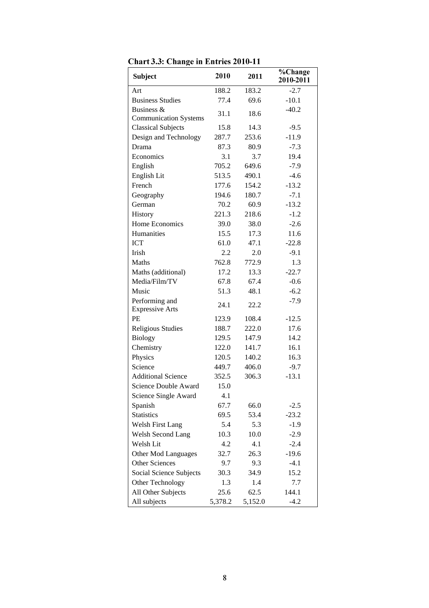| <b>Subject</b>                           | 2010    | 2011    | %Change<br>2010-2011 |
|------------------------------------------|---------|---------|----------------------|
| Art                                      | 188.2   | 183.2   | $-2.7$               |
| <b>Business Studies</b>                  | 77.4    | 69.6    | $-10.1$              |
| Business &                               |         |         | $-40.2$              |
| <b>Communication Systems</b>             | 31.1    | 18.6    |                      |
| <b>Classical Subjects</b>                | 15.8    | 14.3    | $-9.5$               |
| Design and Technology                    | 287.7   | 253.6   | $-11.9$              |
| Drama                                    | 87.3    | 80.9    | $-7.3$               |
| Economics                                | 3.1     | 3.7     | 19.4                 |
| English                                  | 705.2   | 649.6   | $-7.9$               |
| English Lit                              | 513.5   | 490.1   | $-4.6$               |
| French                                   | 177.6   | 154.2   | $-13.2$              |
| Geography                                | 194.6   | 180.7   | $-7.1$               |
| German                                   | 70.2    | 60.9    | $-13.2$              |
| History                                  | 221.3   | 218.6   | $-1.2$               |
| Home Economics                           | 39.0    | 38.0    | $-2.6$               |
| Humanities                               | 15.5    | 17.3    | 11.6                 |
| <b>ICT</b>                               | 61.0    | 47.1    | $-22.8$              |
| <b>Irish</b>                             | 2.2     | 2.0     | $-9.1$               |
| Maths                                    | 762.8   | 772.9   | 1.3                  |
| Maths (additional)                       | 17.2    | 13.3    | $-22.7$              |
| Media/Film/TV                            | 67.8    | 67.4    | $-0.6$               |
| Music                                    | 51.3    | 48.1    | $-6.2$               |
| Performing and<br><b>Expressive Arts</b> | 24.1    | 22.2    | $-7.9$               |
| PE                                       | 123.9   | 108.4   | $-12.5$              |
| <b>Religious Studies</b>                 | 188.7   | 222.0   | 17.6                 |
| <b>Biology</b>                           | 129.5   | 147.9   | 14.2                 |
| Chemistry                                | 122.0   | 141.7   | 16.1                 |
| Physics                                  | 120.5   | 140.2   | 16.3                 |
| Science                                  | 449.7   | 406.0   | $-9.7$               |
| <b>Additional Science</b>                | 352.5   | 306.3   | $-13.1$              |
| Science Double Award                     | 15.0    |         |                      |
| Science Single Award                     | 4.1     |         |                      |
| Spanish                                  | 67.7    | 66.0    | $-2.5$               |
| <b>Statistics</b>                        | 69.5    | 53.4    | $-23.2$              |
| <b>Welsh First Lang</b>                  | 5.4     | 5.3     | $-1.9$               |
| Welsh Second Lang                        | 10.3    | 10.0    | $-2.9$               |
| Welsh Lit                                | 4.2     | 4.1     | $-2.4$               |
| Other Mod Languages                      | 32.7    | 26.3    | $-19.6$              |
| <b>Other Sciences</b>                    | 9.7     | 9.3     | $-4.1$               |
| Social Science Subjects                  | 30.3    | 34.9    | 15.2                 |
| Other Technology                         | 1.3     | 1.4     | 7.7                  |
| All Other Subjects                       | 25.6    | 62.5    | 144.1                |
| All subjects                             | 5,378.2 | 5,152.0 | $-4.2$               |

Chart 3.3: Change in Entries 2010-11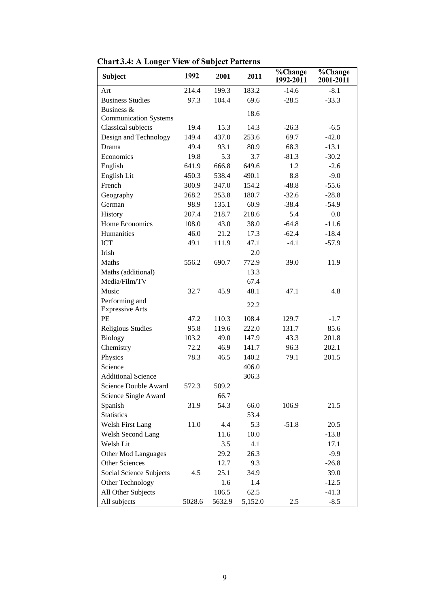| <b>Subject</b>                 | 1992   | 2001   | 2011    | %Change<br>1992-2011 | %Change<br>2001-2011 |
|--------------------------------|--------|--------|---------|----------------------|----------------------|
| Art                            | 214.4  | 199.3  | 183.2   | $-14.6$              | $-8.1$               |
| <b>Business Studies</b>        | 97.3   | 104.4  | 69.6    | $-28.5$              | $-33.3$              |
| Business &                     |        |        | 18.6    |                      |                      |
| <b>Communication Systems</b>   |        |        |         |                      |                      |
| Classical subjects             | 19.4   | 15.3   | 14.3    | $-26.3$              | $-6.5$               |
| Design and Technology          | 149.4  | 437.0  | 253.6   | 69.7                 | $-42.0$              |
| Drama                          | 49.4   | 93.1   | 80.9    | 68.3                 | $-13.1$              |
| Economics                      | 19.8   | 5.3    | 3.7     | $-81.3$              | $-30.2$              |
| English                        | 641.9  | 666.8  | 649.6   | 1.2                  | $-2.6$               |
| English Lit                    | 450.3  | 538.4  | 490.1   | $8.8\,$              | $-9.0$               |
| French                         | 300.9  | 347.0  | 154.2   | $-48.8$              | $-55.6$              |
| Geography                      | 268.2  | 253.8  | 180.7   | $-32.6$              | $-28.8$              |
| German                         | 98.9   | 135.1  | 60.9    | $-38.4$              | $-54.9$              |
| History                        | 207.4  | 218.7  | 218.6   | 5.4                  | 0.0                  |
| Home Economics                 | 108.0  | 43.0   | 38.0    | $-64.8$              | $-11.6$              |
| Humanities                     | 46.0   | 21.2   | 17.3    | $-62.4$              | $-18.4$              |
| <b>ICT</b>                     | 49.1   | 111.9  | 47.1    | $-4.1$               | $-57.9$              |
| Irish                          |        |        | 2.0     |                      |                      |
| Maths                          | 556.2  | 690.7  | 772.9   | 39.0                 | 11.9                 |
| Maths (additional)             |        |        | 13.3    |                      |                      |
| Media/Film/TV                  |        |        | 67.4    |                      |                      |
| Music                          | 32.7   | 45.9   | 48.1    | 47.1                 | 4.8                  |
| Performing and                 |        |        | 22.2    |                      |                      |
| <b>Expressive Arts</b>         |        |        |         |                      |                      |
| PE                             | 47.2   | 110.3  | 108.4   | 129.7                | $-1.7$               |
| <b>Religious Studies</b>       | 95.8   | 119.6  | 222.0   | 131.7                | 85.6                 |
| <b>Biology</b>                 | 103.2  | 49.0   | 147.9   | 43.3                 | 201.8                |
| Chemistry                      | 72.2   | 46.9   | 141.7   | 96.3                 | 202.1                |
| Physics                        | 78.3   | 46.5   | 140.2   | 79.1                 | 201.5                |
| Science                        |        |        | 406.0   |                      |                      |
| <b>Additional Science</b>      |        |        | 306.3   |                      |                      |
| Science Double Award           | 572.3  | 509.2  |         |                      |                      |
| Science Single Award           |        | 66.7   |         |                      |                      |
| Spanish                        | 31.9   | 54.3   | 66.0    | 106.9                | 21.5                 |
| <b>Statistics</b>              |        |        | 53.4    |                      |                      |
| Welsh First Lang               | 11.0   | 4.4    | 5.3     | $-51.8$              | 20.5                 |
| Welsh Second Lang              |        | 11.6   | 10.0    |                      | $-13.8$              |
| Welsh Lit                      |        | 3.5    | 4.1     |                      | 17.1                 |
| Other Mod Languages            |        | 29.2   | 26.3    |                      | $-9.9$               |
| Other Sciences                 |        | 12.7   | 9.3     |                      | $-26.8$              |
| <b>Social Science Subjects</b> | 4.5    | 25.1   | 34.9    |                      | 39.0                 |
| Other Technology               |        | 1.6    | 1.4     |                      | $-12.5$              |
| All Other Subjects             |        | 106.5  | 62.5    |                      | $-41.3$              |
| All subjects                   | 5028.6 | 5632.9 | 5,152.0 | 2.5                  | $-8.5$               |

**Chart 3.4: A Longer View of Subject Patterns**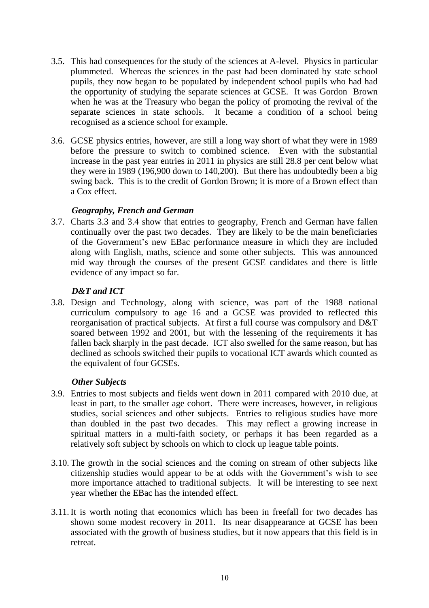- 3.5. This had consequences for the study of the sciences at A-level. Physics in particular plummeted. Whereas the sciences in the past had been dominated by state school pupils, they now began to be populated by independent school pupils who had had the opportunity of studying the separate sciences at GCSE. It was Gordon Brown when he was at the Treasury who began the policy of promoting the revival of the separate sciences in state schools. It became a condition of a school being recognised as a science school for example.
- 3.6. GCSE physics entries, however, are still a long way short of what they were in 1989 before the pressure to switch to combined science. Even with the substantial increase in the past year entries in 2011 in physics are still 28.8 per cent below what they were in 1989 (196,900 down to 140,200). But there has undoubtedly been a big swing back. This is to the credit of Gordon Brown; it is more of a Brown effect than a Cox effect.

### *Geography, French and German*

3.7. Charts 3.3 and 3.4 show that entries to geography, French and German have fallen continually over the past two decades. They are likely to be the main beneficiaries of the Government's new EBac performance measure in which they are included along with English, maths, science and some other subjects. This was announced mid way through the courses of the present GCSE candidates and there is little evidence of any impact so far.

# *D&T and ICT*

3.8. Design and Technology, along with science, was part of the 1988 national curriculum compulsory to age 16 and a GCSE was provided to reflected this reorganisation of practical subjects. At first a full course was compulsory and D&T soared between 1992 and 2001, but with the lessening of the requirements it has fallen back sharply in the past decade. ICT also swelled for the same reason, but has declined as schools switched their pupils to vocational ICT awards which counted as the equivalent of four GCSEs.

### *Other Subjects*

- 3.9. Entries to most subjects and fields went down in 2011 compared with 2010 due, at least in part, to the smaller age cohort. There were increases, however, in religious studies, social sciences and other subjects. Entries to religious studies have more than doubled in the past two decades. This may reflect a growing increase in spiritual matters in a multi-faith society, or perhaps it has been regarded as a relatively soft subject by schools on which to clock up league table points.
- 3.10. The growth in the social sciences and the coming on stream of other subjects like citizenship studies would appear to be at odds with the Government's wish to see more importance attached to traditional subjects. It will be interesting to see next year whether the EBac has the intended effect.
- 3.11.It is worth noting that economics which has been in freefall for two decades has shown some modest recovery in 2011. Its near disappearance at GCSE has been associated with the growth of business studies, but it now appears that this field is in retreat.